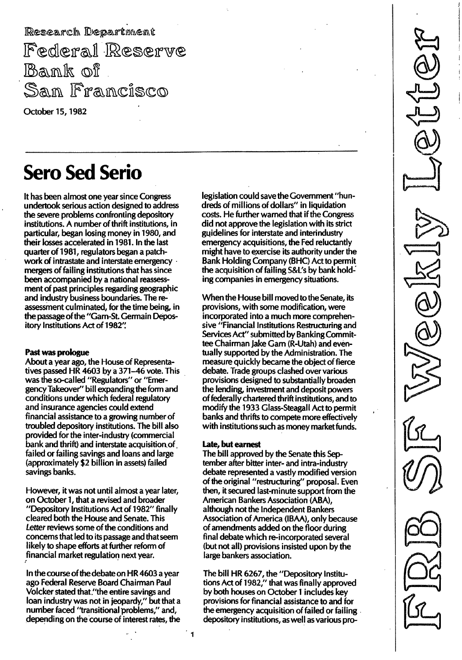Research Department Federal Reserve Bank of San Francisco

October 15, 1982

# **Sero Sed Serio**

It has been almost one year since Congress undertook serious action designed to address the severe problems confronting depository institutions. A number of thrift institutions, in particular, began losing money in 1980, and their losses accelerated in 1981. In the last quarter of 1981, regulators began a patchwork of intrastate and interstate emergency · mergers of failing institutions that has since been accompanied by a national reassessment of past principles regarding geographic and industry business boundaries. The reassessment culminated, for the time being, in the passage of the "Garn-St. Germain Depository Institutions Act of 1982':

## Past was prologue

About a year ago, the House of Representatives passed HR 4603 by a 371-46 vote. This was the so-called "Regulators" or "EmergencyTakeover" bill expanding the form and conditions under which federal regulatory and insurance agencies could extend financial assistance to a growing number of troubled depository institutions. The bill also provided for the inter-industry (commercial bank and thrift) and interstate acquisition of failed or failing savings and loans and large (approximately \$2 billion in assets) failed savings banks.

However, it was not until almost a year later, on October 1, that a revised and broader "Depository Institutions Act of 1982" finally cleared both the House and Senate. This Letter reviews some of the conditions and concerns that led to its passage and that seem likely to shape efforts at further reform of financial market regulation next year.

In the course of the debate on HR 4603 a year ago Federal Reserve Board Chairman Paul Volcker stated that."the entire savings and loan industry was not in jeopardy," but that a number faced "transitional problems," and, depending on the course of interest rates, the

legislation could save the Government "hundreds of millions of dollars" in liquidation costs. He further warned that if the Congress did not approve the legislation with its strict guidelines for interstate and interindustry emergency acquisitions, the Fed reluctantly might have to exercise its authority under the Bank Holding Company (BHC) Act to permit the acquisition of failing S&L's by bank holding companies in emergency situations.

When the House bill moved to the Senate, its provisions, with some modification, were incorporated into a much more comprehensive "Financial Institutions Restructuring and Services Act" submitted by Banking Committee Chairman Jake Garn (R-Utah) and eventually supported by the Administration. The measure quickly became the object of fierce debate. Trade groups clashed over various provisions designed to substantially broaden the lending, investment and deposit powers of federally chartered thrift institutions, and to modify the 1933 Glass-Steagall Act to permit banks and thrifts to compete more effectively with institutions such as money market funds.

## late, but earnest

The bill approved by the Senate this September after bitter inter- and intra-industry debate represented a vastly modified version of the original "restructuring" proposal. Even then, it secured last-minute support from the American Bankers Association (ABA), although not the Independent Bankers Association of America (IBAA), only because of amendments added on the floor during final debate which re-incorporated several (but not all) provisions insisted upon by the large bankers association.

The bill HR 6267, the "Depository Institutions Act of 1982," that was finally approved by both houses on October 1 includes key provisions for financial assistance to and for the emergency acquisition of failed or failing depository institutions, as well as various pro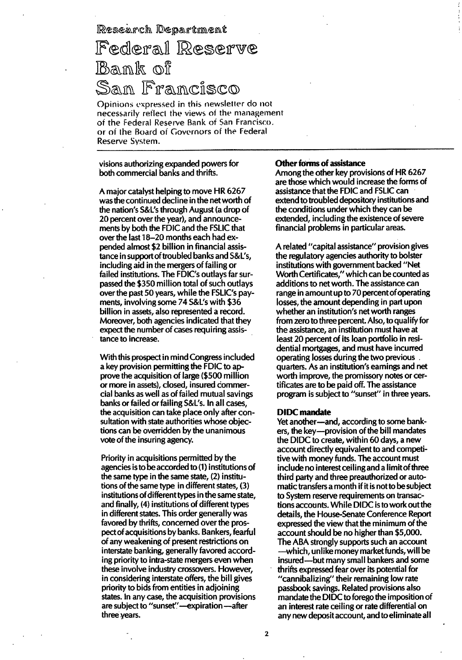Research Department

## Federal Reserve Bank of Sam Francisco

Opinions expressed in this newsletter do not necessarily reflect the views of the management of the Federal Reserve Bank of San Francisco. or of the Board of Governors of the Federal Reserve System.

visions authorizing expanded powers for both commercial banks and thrifts.

A major catalyst helping to move HR 6267 was the continued decline in the net worth of the nation's S&L's through August (a drop of 20 percent over the year), and announcements by both the FDIC and the FSLIC that over the last 18–20 months each had expended almost \$2 billion in financial assistance in support of troubled banks and S&L's, including aid in the mergers of failing or failed institutions. The FDIC's outlays far surpassed the \$350 million total of such outlays over the past 50 years, while the FSLIC's payments, involving some 74 S&L's with \$36 billion in assets, also represented a record. Moreover, both agencies indicated that they expect the number of cases requiring assistance to increase.

With this prospect in mind Congress included a key provision permitting the FDIC to approve the acquisition of large (\$500 million or more in assets), closed, insured commercial banks as well as of failed mutual savings banks or failed or failing S&L's. In all cases, the acquisition can take place only after consultation with state authorities whose objections can be overridden by the unanimous vote of the insuring agency.

Priority in acquisitions permitted by the agencies is to be accorded to (1) institutions of the same type in the same state, (2) institutions of the same type in different states, (3) institutions of different types in the same state, and finally, (4) institutions of different types in different states. This order generally was favored by thrifts, concerned over the prospect of acquisitions by banks. Bankers, fearful of any weakening of present restrictions on interstate banking, generally favored according priority to intra-state mergers even when these involve industry crossovers. However, in considering interstate offers, the bill gives priority to bids from entities in adjoining states. In any case, the acquisition provisions are subject to "sunset"-expiration-after three years.

#### **Other forms of assistance**

Among the other key provisions of HR 6267 are those which would increase the forms of assistance that the FDIC and FSLIC can extend to troubled depository institutions and the conditions under which they can be extended, including the existence of severe financial problems in particular areas.

A related "capital assistance" provision gives the regulatory agencies authority to bolster institutions with government backed "Net Worth Certificates," which can be counted as additions to net worth. The assistance can range in amount up to 70 percent of operating losses, the amount depending in part upon whether an institution's net worth ranges from zero to three percent. Also, to qualify for the assistance, an institution must have at least 20 percent of its loan portfolio in residential mortgages, and must have incurred operating losses during the two previous quarters. As an institution's earnings and net worth improve, the promissory notes or certificates are to be paid off. The assistance program is subject to "sunset" in three years.

## **DIDC** mandate

Yet another-and, according to some bankers, the key-provision of the bill mandates the DIDC to create, within 60 days, a new account directly equivalent to and competitive with money funds. The account must include no interest ceiling and a limit of three third party and three preauthorized or automatic transfers a month if it is not to be subject to System reserve requirements on transactions accounts. While DIDC is to work out the details, the House-Senate Conference Report expressed the view that the minimum of the account should be no higher than \$5,000. The ABA strongly supports such an account --which, unlike money market funds, will be insured—but many small bankers and some thrifts expressed fear over its potential for "cannibalizing" their remaining low rate passbook savings. Related provisions also mandate the DIDC to forego the imposition of an interest rate ceiling or rate differential on any new deposit account, and to eliminate all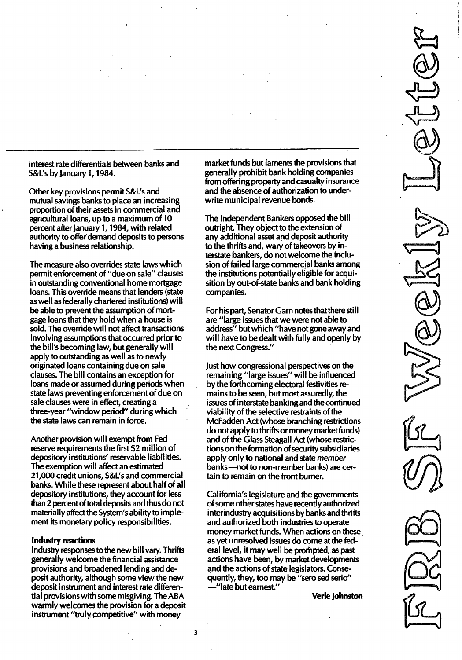interest rate differentials between banks and S&L's by January 1, 1984.

Other key provisions permit S&L's and mutual savings banks to place an increasing proportion of their assets in commercial and agricultural loans, up to a maximum of 10 percent after January 1, 1984, with related authority to offer demand deposits to persons having a business relationship.

The measure also overrides state laws which permit enforcement of "due on sale" clauses in outstanding conventional home mortgage loans. This override means that lenders (state as well as federally chartered institutions) will be able to prevent the assumption of mortgage loans that they hold when a house is sold. The override will not affect transactions involving assumptions that occurred prior to the bill's becoming law, but generally will apply to outstanding as well as to newly originated loans containing due on sale clauses. The bill contains an exception for loans made or assumed during periods when state laws preventing enforcement of due on sale clauses were in effect, creating a three-year "window period" during which the state laws can remain in force.

Another provision will exempt from Fed reserve requirements the first \$2 million of depository institutions' reservable liabilities. The exemption will affect an estimated 21 ,000 credit unions, S&L's and commercial banks. While these represent about half of all depository institutions, they account for less than 2 percent of total deposits and thus do not materially affect the System's ability to implement its monetary policy responsibilities.

### Industry reactions

Industry responses to the new bill vary. Thrifts generally welcome the financial assistance provisions and broadened lending and deposit authority, although some view the new deposit instrument and interest rate differential provisions with some misgiving. The ABA warmly welcomes the provision for a deposit instrument "truly competitive" with money

market funds but laments the provisions that generally prohibit bank holding companies from offering property and casualty insurance and the absence of authorization to underwrite municipal revenue bonds.

The Independent Bankers opposed the bill outright. They object to the extension of any additional asset and deposit authority to the thrifts and, wary of takeovers by interstate bankers, do not welcome the inclusion of failed large commercial banks among the institutions potentially eligible foracquisition by out-of-state banks and bank holding companies.

For his part, Senator Garn notes that there still are "large issues that we were not able to address" but which "have not gone away and will have to be dealt with fully and openly by the next Congress."

Just how congressional perspectives on the remaining "large issues" will be influenced by the forthcoming electoral festivities remains to be seen, but most assuredly, the issues of interstate banking and the continued viability of the selective restraints of the McFadden Act (whose branching restrictions do not apply to thrifts or money market funds) and of the Glass Steagall Act (whose restrictions on the formation of security subsidiaries apply only to national and state member banks-not to non-member banks) are certain to remain on the front burner.

California's legislature and the governments of some other states have recently authorized interindustry acquisitions by banks and thrifts and authorized both industries to operate money market funds. When actions on these as yet unresolved issues do come at the federal level, it may well be prompted, as past actions have been, by market developments and the actions of state legislators. Consequently, they, too may be "sero sed serio" -"late but earnest."

Verle Johnston